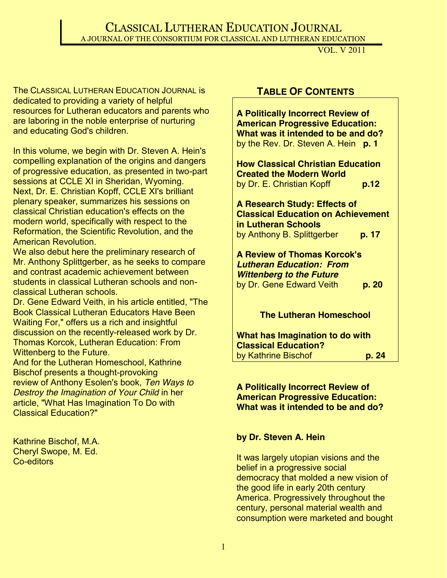## CLASSICAL LUTHERAN EDUCATION JOURNAL A JOURNAL OF THE CONSORTIUM FOR CLASSICAL AND LUTHERAN EDUCATION

VOL. V 2011

The CLASSICAL LUTHERAN EDUCATION JOURNAL is dedicated to providing a variety of helpful resources for Lutheran educators and parents who are laboring in the noble enterprise of nurturing and educating God's children.

In this volume, we begin with Dr. Steven A. Hein's compelling explanation of the origins and dangers of progressive education, as presented in two-part sessions at CCLE XI in Sheridan, Wyoming. Next, Dr. E. Christian Kopff, CCLE XI's brilliant plenary speaker, summarizes his sessions on classical Christian education's effects on the modern world, specifically with respect to the Reformation, the Scientific Revolution, and the American Revolution.

We also debut here the preliminary research of Mr. Anthony Splittgerber, as he seeks to compare and contrast academic achievement between students in classical Lutheran schools and nonclassical Lutheran schools.

Dr. Gene Edward Veith, in his article entitled, "The Book Classical Lutheran Educators Have Been Waiting For," offers us a rich and insightful discussion on the recently-released work by Dr. Thomas Korcok, Lutheran Education: From Wittenberg to the Future.

And for the Lutheran Homeschool, Kathrine Bischof presents a thought-provoking review of Anthony Esolen's book, *Ten Ways to Destroy the Imagination of Your Child* in her article, "What Has Imagination To Do with Classical Education?"

Kathrine Bischof, M.A. Cheryl Swope, M. Ed. Co-editors

## **TABLE OF CONTENTS**

**A Politically Incorrect Review of American Progressive Education: What was it intended to be and do?**  by the Rev. Dr. Steven A. Hein **p. 1**

**How Classical Christian Education Created the Modern World** by Dr. E. Christian Kopff **p.12**

**A Research Study: Effects of Classical Education on Achievement in Lutheran Schools** by Anthony B. Splittgerber **p. 17**

**A Review of Thomas Korcok's**  *Lutheran Education: From Wittenberg to the Future* by Dr. Gene Edward Veith **p. 20**

**The Lutheran Homeschool**

**What has Imagination to do with Classical Education?** by Kathrine Bischof **p. 24**

**A Politically Incorrect Review of American Progressive Education: What was it intended to be and do?**

### **by Dr. Steven A. Hein**

It was largely utopian visions and the belief in a progressive social democracy that molded a new vision of the good life in early 20th century America. Progressively throughout the century, personal material wealth and consumption were marketed and bought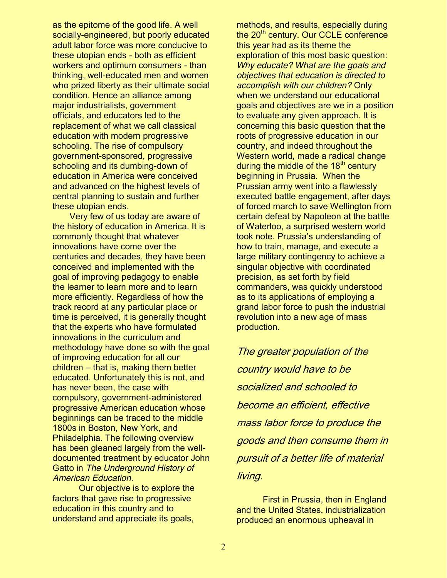as the epitome of the good life. A well socially-engineered, but poorly educated adult labor force was more conducive to these utopian ends - both as efficient workers and optimum consumers - than thinking, well-educated men and women who prized liberty as their ultimate social condition. Hence an alliance among major industrialists, government officials, and educators led to the replacement of what we call classical education with modern progressive schooling. The rise of compulsory government-sponsored, progressive schooling and its dumbing-down of education in America were conceived and advanced on the highest levels of central planning to sustain and further these utopian ends.

 Very few of us today are aware of the history of education in America. It is commonly thought that whatever innovations have come over the centuries and decades, they have been conceived and implemented with the goal of improving pedagogy to enable the learner to learn more and to learn more efficiently. Regardless of how the track record at any particular place or time is perceived, it is generally thought that the experts who have formulated innovations in the curriculum and methodology have done so with the goal of improving education for all our  $children - that$  is, making them better educated. Unfortunately this is not, and has never been, the case with compulsory, government-administered progressive American education whose beginnings can be traced to the middle 1800s in Boston, New York, and Philadelphia. The following overview has been gleaned largely from the welldocumented treatment by educator John Gatto in *The Underground History of American Education*.

Our objective is to explore the factors that gave rise to progressive education in this country and to understand and appreciate its goals,

methods, and results, especially during the 20<sup>th</sup> century. Our CCLE conference this year had as its theme the exploration of this most basic question: *Why educate? What are the goals and objectives that education is directed to accomplish with our children?* Only when we understand our educational goals and objectives are we in a position to evaluate any given approach. It is concerning this basic question that the roots of progressive education in our country, and indeed throughout the Western world, made a radical change during the middle of the  $18<sup>th</sup>$  century beginning in Prussia. When the Prussian army went into a flawlessly executed battle engagement, after days of forced march to save Wellington from certain defeat by Napoleon at the battle of Waterloo, a surprised western world took note. Prussia's understanding of how to train, manage, and execute a large military contingency to achieve a singular objective with coordinated precision, as set forth by field commanders, was quickly understood as to its applications of employing a grand labor force to push the industrial revolution into a new age of mass production.

The greater population of the country would have to be socialized and schooled to become an efficient, effective mass labor force to produce the goods and then consume them in pursuit of a better life of material living.

First in Prussia, then in England and the United States, industrialization produced an enormous upheaval in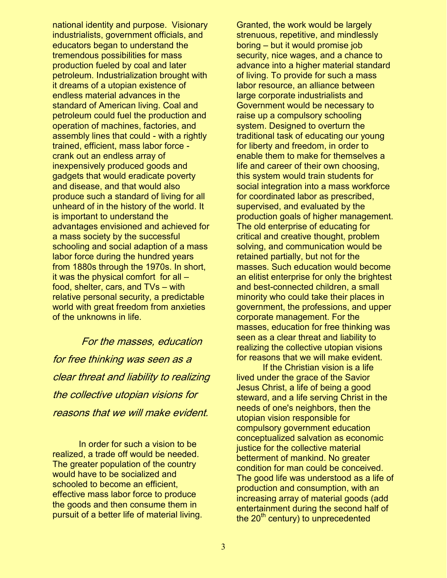national identity and purpose. Visionary industrialists, government officials, and educators began to understand the tremendous possibilities for mass production fueled by coal and later petroleum. Industrialization brought with it dreams of a utopian existence of endless material advances in the standard of American living. Coal and petroleum could fuel the production and operation of machines, factories, and assembly lines that could - with a rightly trained, efficient, mass labor force crank out an endless array of inexpensively produced goods and gadgets that would eradicate poverty and disease, and that would also produce such a standard of living for all unheard of in the history of the world. It is important to understand the advantages envisioned and achieved for a mass society by the successful schooling and social adaption of a mass labor force during the hundred years from 1880s through the 1970s. In short, it was the physical comfort for all  $$ food, shelter, cars, and  $TVs - with$ relative personal security, a predictable world with great freedom from anxieties of the unknowns in life.

For the masses, education for free thinking was seen as a clear threat and liability to realizing the collective utopian visions for reasons that we will make evident.

In order for such a vision to be realized, a trade off would be needed. The greater population of the country would have to be socialized and schooled to become an efficient, effective mass labor force to produce the goods and then consume them in pursuit of a better life of material living.

Granted, the work would be largely strenuous, repetitive, and mindlessly  $boring - but it would promise job$ security, nice wages, and a chance to advance into a higher material standard of living. To provide for such a mass labor resource, an alliance between large corporate industrialists and Government would be necessary to raise up a compulsory schooling system. Designed to overturn the traditional task of educating our young for liberty and freedom, in order to enable them to make for themselves a life and career of their own choosing, this system would train students for social integration into a mass workforce for coordinated labor as prescribed, supervised, and evaluated by the production goals of higher management. The old enterprise of educating for critical and creative thought, problem solving, and communication would be retained partially, but not for the masses. Such education would become an elitist enterprise for only the brightest and best-connected children, a small minority who could take their places in government, the professions, and upper corporate management. For the masses, education for free thinking was seen as a clear threat and liability to realizing the collective utopian visions for reasons that we will make evident.

If the Christian vision is a life lived under the grace of the Savior Jesus Christ, a life of being a good steward, and a life serving Christ in the needs of one's neighbors, then the utopian vision responsible for compulsory government education conceptualized salvation as economic justice for the collective material betterment of mankind. No greater condition for man could be conceived. The good life was understood as a life of production and consumption, with an increasing array of material goods (add entertainment during the second half of the 20<sup>th</sup> century) to unprecedented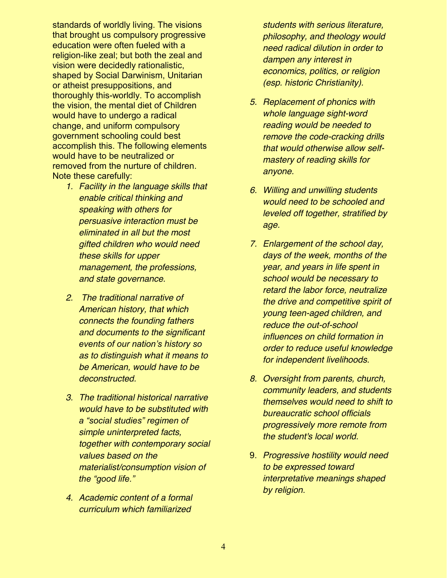standards of worldly living. The visions that brought us compulsory progressive education were often fueled with a religion-like zeal; but both the zeal and vision were decidedly rationalistic, shaped by Social Darwinism, Unitarian or atheist presuppositions, and thoroughly this-worldly. To accomplish the vision, the mental diet of Children would have to undergo a radical change, and uniform compulsory government schooling could best accomplish this. The following elements would have to be neutralized or removed from the nurture of children. Note these carefully:

- *1. Facility in the language skills that enable critical thinking and speaking with others for persuasive interaction must be eliminated in all but the most gifted children who would need these skills for upper management, the professions, and state governance.*
- *2. The traditional narrative of American history, that which connects the founding fathers and documents to the significant events of our nation's history so as to distinguish what it means to be American, would have to be deconstructed.*
- *3. The traditional historical narrative would have to be substituted with*  a "social studies" regimen of *simple uninterpreted facts, together with contemporary social values based on the materialist/consumption vision of the "good life."*
- *4. Academic content of a formal curriculum which familiarized*

*students with serious literature, philosophy, and theology would need radical dilution in order to dampen any interest in economics, politics, or religion (esp. historic Christianity).*

- *5. Replacement of phonics with whole language sight-word reading would be needed to remove the code-cracking drills that would otherwise allow selfmastery of reading skills for anyone.*
- *6. Willing and unwilling students would need to be schooled and leveled off together, stratified by age.*
- *7. Enlargement of the school day, days of the week, months of the year, and years in life spent in school would be necessary to retard the labor force, neutralize the drive and competitive spirit of young teen-aged children, and reduce the out-of-school influences on child formation in order to reduce useful knowledge for independent livelihoods.*
- *8. Oversight from parents, church, community leaders, and students themselves would need to shift to bureaucratic school officials progressively more remote from the student's local world.*
- 9. *Progressive hostility would need to be expressed toward interpretative meanings shaped by religion*.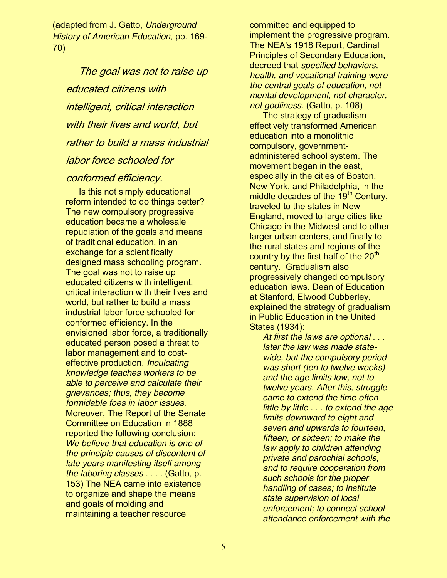(adapted from J. Gatto, *Underground History of American Education*, pp. 169- 70)

The goal was not to raise up educated citizens with intelligent, critical interaction with their lives and world, but rather to build a mass industrial labor force schooled for

### conformed efficiency.

Is this not simply educational reform intended to do things better? The new compulsory progressive education became a wholesale repudiation of the goals and means of traditional education, in an exchange for a scientifically designed mass schooling program. The goal was not to raise up educated citizens with intelligent, critical interaction with their lives and world, but rather to build a mass industrial labor force schooled for conformed efficiency. In the envisioned labor force, a traditionally educated person posed a threat to labor management and to costeffective production. *Inculcating knowledge teaches workers to be able to perceive and calculate their grievances; thus, they become formidable foes in labor issues.* Moreover, The Report of the Senate Committee on Education in 1888 reported the following conclusion: *We believe that education is one of the principle causes of discontent of late years manifesting itself among the laboring classes* . . . . (Gatto, p. 153) The NEA came into existence to organize and shape the means and goals of molding and maintaining a teacher resource

committed and equipped to implement the progressive program. The NEA's 1918 Report, Cardinal Principles of Secondary Education, decreed that *specified behaviors, health, and vocational training were the central goals of education, not mental development, not character, not godliness*. (Gatto, p. 108)

The strategy of gradualism effectively transformed American education into a monolithic compulsory, governmentadministered school system. The movement began in the east, especially in the cities of Boston, New York, and Philadelphia, in the middle decades of the 19<sup>th</sup> Century, traveled to the states in New England, moved to large cities like Chicago in the Midwest and to other larger urban centers, and finally to the rural states and regions of the country by the first half of the  $20<sup>th</sup>$ century. Gradualism also progressively changed compulsory education laws. Dean of Education at Stanford, Elwood Cubberley, explained the strategy of gradualism in Public Education in the United States (1934):

*At first the laws are optional . . . later the law was made statewide, but the compulsory period was short (ten to twelve weeks) and the age limits low, not to twelve years. After this, struggle came to extend the time often little by little . . . to extend the age limits downward to eight and seven and upwards to fourteen, fifteen, or sixteen; to make the law apply to children attending private and parochial schools, and to require cooperation from such schools for the proper handling of cases; to institute state supervision of local enforcement; to connect school attendance enforcement with the*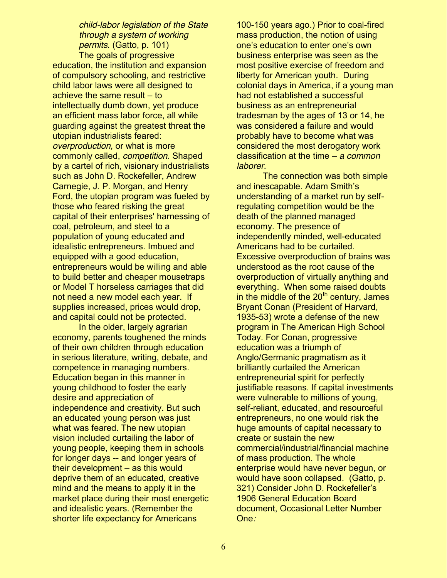*child-labor legislation of the State through a system of working permits*. (Gatto, p. 101)

The goals of progressive education, the institution and expansion of compulsory schooling, and restrictive child labor laws were all designed to achieve the same result  $-$  to intellectually dumb down, yet produce an efficient mass labor force, all while guarding against the greatest threat the utopian industrialists feared: *overproduction,* or what is more commonly called, *competition*. Shaped by a cartel of rich, visionary industrialists such as John D. Rockefeller, Andrew Carnegie, J. P. Morgan, and Henry Ford, the utopian program was fueled by those who feared risking the great capital of their enterprises' harnessing of coal, petroleum, and steel to a population of young educated and idealistic entrepreneurs. Imbued and equipped with a good education, entrepreneurs would be willing and able to build better and cheaper mousetraps or Model T horseless carriages that did not need a new model each year. If supplies increased, prices would drop, and capital could not be protected.

In the older, largely agrarian economy, parents toughened the minds of their own children through education in serious literature, writing, debate, and competence in managing numbers. Education began in this manner in young childhood to foster the early desire and appreciation of independence and creativity. But such an educated young person was just what was feared. The new utopian vision included curtailing the labor of young people, keeping them in schools for longer days -- and longer years of their development  $-$  as this would deprive them of an educated, creative mind and the means to apply it in the market place during their most energetic and idealistic years. (Remember the shorter life expectancy for Americans

100-150 years ago.) Prior to coal-fired mass production, the notion of using one's education to enter one's own business enterprise was seen as the most positive exercise of freedom and liberty for American youth. During colonial days in America, if a young man had not established a successful business as an entrepreneurial tradesman by the ages of 13 or 14, he was considered a failure and would probably have to become what was considered the most derogatory work classification at the time – a common *laborer*.

The connection was both simple and inescapable. Adam Smith's understanding of a market run by selfregulating competition would be the death of the planned managed economy. The presence of independently minded, well-educated Americans had to be curtailed. Excessive overproduction of brains was understood as the root cause of the overproduction of virtually anything and everything. When some raised doubts in the middle of the  $20<sup>th</sup>$  century, James Bryant Conan (President of Harvard, 1935-53) wrote a defense of the new program in The American High School Today. For Conan, progressive education was a triumph of Anglo/Germanic pragmatism as it brilliantly curtailed the American entrepreneurial spirit for perfectly justifiable reasons. If capital investments were vulnerable to millions of young, self-reliant, educated, and resourceful entrepreneurs, no one would risk the huge amounts of capital necessary to create or sustain the new commercial/industrial/financial machine of mass production. The whole enterprise would have never begun, or would have soon collapsed. (Gatto, p. 321) Consider John D. Rockefeller's 1906 General Education Board document, Occasional Letter Number One*:*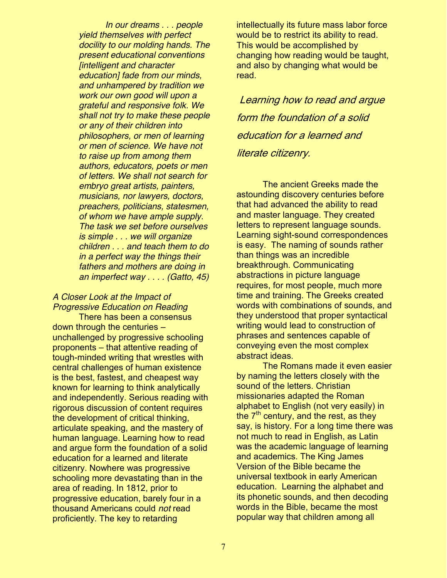*In our dreams . . . people yield themselves with perfect docility to our molding hands. The present educational conventions [intelligent and character education] fade from our minds, and unhampered by tradition we work our own good will upon a grateful and responsive folk. We shall not try to make these people or any of their children into philosophers, or men of learning or men of science. We have not to raise up from among them authors, educators, poets or men of letters. We shall not search for embryo great artists, painters, musicians, nor lawyers, doctors, preachers, politicians, statesmen, of whom we have ample supply. The task we set before ourselves is simple . . . we will organize children . . . and teach them to do in a perfect way the things their fathers and mothers are doing in an imperfect way . . . . (Gatto, 45)*

### *A Closer Look at the Impact of Progressive Education on Reading*

There has been a consensus down through the centuries  $$ unchallenged by progressive schooling proponents – that attentive reading of tough-minded writing that wrestles with central challenges of human existence is the best, fastest, and cheapest way known for learning to think analytically and independently. Serious reading with rigorous discussion of content requires the development of critical thinking, articulate speaking, and the mastery of human language. Learning how to read and argue form the foundation of a solid education for a learned and literate citizenry. Nowhere was progressive schooling more devastating than in the area of reading. In 1812, prior to progressive education, barely four in a thousand Americans could *not* read proficiently. The key to retarding

intellectually its future mass labor force would be to restrict its ability to read. This would be accomplished by changing how reading would be taught, and also by changing what would be read.

Learning how to read and argue form the foundation of a solid education for a learned and literate citizenry.

The ancient Greeks made the astounding discovery centuries before that had advanced the ability to read and master language. They created letters to represent language sounds. Learning sight-sound correspondences is easy. The naming of sounds rather than things was an incredible breakthrough. Communicating abstractions in picture language requires, for most people, much more time and training. The Greeks created words with combinations of sounds, and they understood that proper syntactical writing would lead to construction of phrases and sentences capable of conveying even the most complex abstract ideas.

The Romans made it even easier by naming the letters closely with the sound of the letters. Christian missionaries adapted the Roman alphabet to English (not very easily) in the  $7<sup>th</sup>$  century, and the rest, as they say, is history. For a long time there was not much to read in English, as Latin was the academic language of learning and academics. The King James Version of the Bible became the universal textbook in early American education. Learning the alphabet and its phonetic sounds, and then decoding words in the Bible, became the most popular way that children among all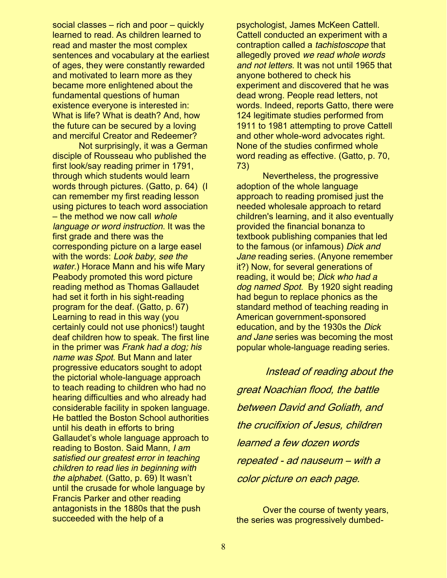social classes  $-$  rich and poor  $-$  quickly learned to read. As children learned to read and master the most complex sentences and vocabulary at the earliest of ages, they were constantly rewarded and motivated to learn more as they became more enlightened about the fundamental questions of human existence everyone is interested in: What is life? What is death? And, how the future can be secured by a loving and merciful Creator and Redeemer?

Not surprisingly, it was a German disciple of Rousseau who published the first look/say reading primer in 1791, through which students would learn words through pictures. (Gatto, p. 64) (I can remember my first reading lesson using pictures to teach word association  $-$  the method we now call *whole language or word instruction*. It was the first grade and there was the corresponding picture on a large easel with the words: *Look baby, see the water*.) Horace Mann and his wife Mary Peabody promoted this word picture reading method as Thomas Gallaudet had set it forth in his sight-reading program for the deaf. (Gatto, p. 67) Learning to read in this way (you certainly could not use phonics!) taught deaf children how to speak. The first line in the primer was *Frank had a dog; his name was Spot*. But Mann and later progressive educators sought to adopt the pictorial whole-language approach to teach reading to children who had no hearing difficulties and who already had considerable facility in spoken language. He battled the Boston School authorities until his death in efforts to bring Gallaudet's whole language approach to reading to Boston. Said Mann, *I am satisfied our greatest error in teaching children to read lies in beginning with the alphabet*. (Gatto, p. 69) It wasn't until the crusade for whole language by Francis Parker and other reading antagonists in the 1880s that the push succeeded with the help of a

psychologist, James McKeen Cattell. Cattell conducted an experiment with a contraption called a *tachistoscope* that allegedly proved *we read whole words and not letters*. It was not until 1965 that anyone bothered to check his experiment and discovered that he was dead wrong. People read letters, not words. Indeed, reports Gatto, there were 124 legitimate studies performed from 1911 to 1981 attempting to prove Cattell and other whole-word advocates right. None of the studies confirmed whole word reading as effective. (Gatto, p. 70, 73)

Nevertheless, the progressive adoption of the whole language approach to reading promised just the needed wholesale approach to retard children's learning, and it also eventually provided the financial bonanza to textbook publishing companies that led to the famous (or infamous) *Dick and Jane* reading series. (Anyone remember it?) Now, for several generations of reading, it would be; *Dick who had a dog named Spot*. By 1920 sight reading had begun to replace phonics as the standard method of teaching reading in American government-sponsored education, and by the 1930s the *Dick and Jane* series was becoming the most popular whole-language reading series.

Instead of reading about the great Noachian flood, the battle between David and Goliath, and the crucifixion of Jesus, children learned a few dozen words repeated - ad nauseum ‒ with a color picture on each page.

Over the course of twenty years, the series was progressively dumbed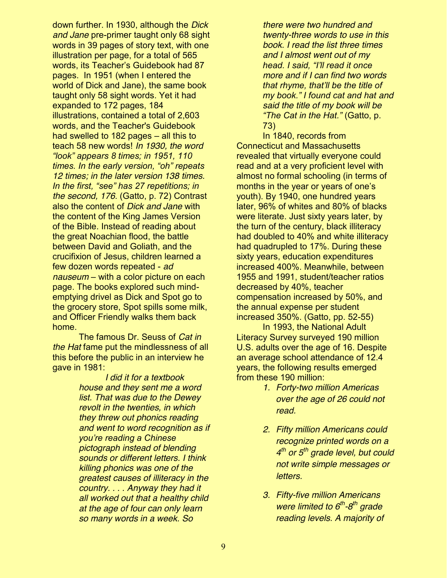down further. In 1930, although the *Dick and Jane* pre-primer taught only 68 sight words in 39 pages of story text, with one illustration per page, for a total of 565 words, its Teacher's Guidebook had 87 pages. In 1951 (when I entered the world of Dick and Jane), the same book taught only 58 sight words. Yet it had expanded to 172 pages, 184 illustrations, contained a total of 2,603 words, and the Teacher's Guidebook had swelled to 182 pages  $-$  all this to teach 58 new words! *In 1930, the word*  "look" appears 8 times; in 1951, 110 *times. In the early version, "oh" repeats 12 times; in the later version 138 times. In the first, "see" has 27 repetitions; in the second, 176*. (Gatto, p. 72) Contrast also the content of *Dick and Jane* with the content of the King James Version of the Bible. Instead of reading about the great Noachian flood, the battle between David and Goliath, and the crucifixion of Jesus, children learned a few dozen words repeated - *ad nauseum* – with a color picture on each page. The books explored such mindemptying drivel as Dick and Spot go to the grocery store, Spot spills some milk, and Officer Friendly walks them back home.

The famous Dr. Seuss of *Cat in the Hat* fame put the mindlessness of all this before the public in an interview he gave in 1981:

> *I did it for a textbook house and they sent me a word list. That was due to the Dewey revolt in the twenties, in which they threw out phonics reading and went to word recognition as if <u>Vou're reading a Chinese</u> pictograph instead of blending sounds or different letters. I think killing phonics was one of the greatest causes of illiteracy in the country. . . . Anyway they had it all worked out that a healthy child at the age of four can only learn so many words in a week. So*

*there were two hundred and twenty-three words to use in this book. I read the list three times and I almost went out of my head. I said, "I'll read it once more and if I can find two words that rhyme, that'll be the title of Phy book." I found cat and hat and said the title of my book will be "The Cat in the Hat."* (Gatto, p. 73)

In 1840, records from Connecticut and Massachusetts revealed that virtually everyone could read and at a very proficient level with almost no formal schooling (in terms of months in the year or years of one's youth). By 1940, one hundred years later, 96% of whites and 80% of blacks were literate. Just sixty years later, by the turn of the century, black illiteracy had doubled to 40% and white illiteracy had quadrupled to 17%. During these sixty years, education expenditures increased 400%. Meanwhile, between 1955 and 1991, student/teacher ratios decreased by 40%, teacher compensation increased by 50%, and the annual expense per student increased 350%. (Gatto, pp. 52-55)

In 1993, the National Adult Literacy Survey surveyed 190 million U.S. adults over the age of 16. Despite an average school attendance of 12.4 years, the following results emerged from these 190 million:

- *1. Forty-two million Americas over the age of 26 could not read.*
- *2. Fifty million Americans could recognize printed words on a 4th or 5th grade level, but could not write simple messages or letters.*
- *3. Fifty-five million Americans were limited to 6th-8th grade reading levels. A majority of*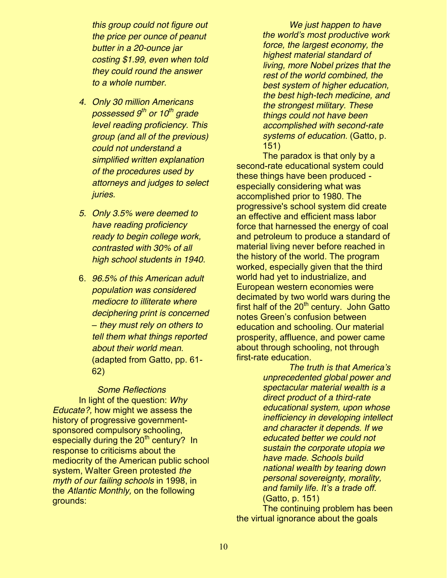*this group could not figure out the price per ounce of peanut butter in a 20-ounce jar costing \$1.99, even when told they could round the answer to a whole number.*

- *4. Only 30 million Americans possessed 9th or 10th grade level reading proficiency. This group (and all of the previous) could not understand a simplified written explanation of the procedures used by attorneys and judges to select juries.*
- *5. Only 3.5% were deemed to have reading proficiency ready to begin college work, contrasted with 30% of all high school students in 1940.*
- 6. *96.5% of this American adult population was considered mediocre to illiterate where deciphering print is concerned ± they must rely on others to tell them what things reported about their world mean*. (adapted from Gatto, pp. 61- 62)

*Some Reflections* In light of the question: *Why Educate?,* how might we assess the history of progressive governmentsponsored compulsory schooling, especially during the  $20<sup>th</sup>$  century? In response to criticisms about the mediocrity of the American public school system, Walter Green protested *the myth of our failing schools* in 1998, in the *Atlantic Monthly,* on the following grounds:

*We just happen to have the world's most productive work force, the largest economy, the highest material standard of living, more Nobel prizes that the rest of the world combined, the best system of higher education, the best high-tech medicine, and the strongest military. These things could not have been accomplished with second-rate systems of education*. (Gatto, p. 151)

The paradox is that only by a second-rate educational system could these things have been produced especially considering what was accomplished prior to 1980. The progressive's school system did create an effective and efficient mass labor force that harnessed the energy of coal and petroleum to produce a standard of material living never before reached in the history of the world. The program worked, especially given that the third world had yet to industrialize, and European western economies were decimated by two world wars during the first half of the  $20<sup>th</sup>$  century. John Gatto notes Green's confusion between education and schooling. Our material prosperity, affluence, and power came about through schooling, not through first-rate education.

> *The truth is that America's unprecedented global power and spectacular material wealth is a direct product of a third-rate educational system, upon whose inefficiency in developing intellect and character it depends. If we educated better we could not sustain the corporate utopia we have made. Schools build national wealth by tearing down personal sovereignty, morality,*  and family life. It's a trade off. (Gatto, p. 151)

The continuing problem has been the virtual ignorance about the goals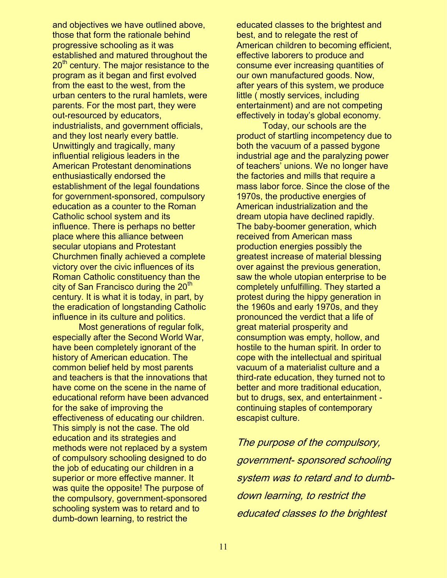and objectives we have outlined above, those that form the rationale behind progressive schooling as it was established and matured throughout the 20<sup>th</sup> century. The major resistance to the program as it began and first evolved from the east to the west, from the urban centers to the rural hamlets, were parents. For the most part, they were out-resourced by educators, industrialists, and government officials, and they lost nearly every battle. Unwittingly and tragically, many influential religious leaders in the American Protestant denominations enthusiastically endorsed the establishment of the legal foundations for government-sponsored, compulsory education as a counter to the Roman Catholic school system and its influence. There is perhaps no better place where this alliance between secular utopians and Protestant Churchmen finally achieved a complete victory over the civic influences of its Roman Catholic constituency than the city of San Francisco during the  $20<sup>th</sup>$ century. It is what it is today, in part, by the eradication of longstanding Catholic influence in its culture and politics.

Most generations of regular folk, especially after the Second World War, have been completely ignorant of the history of American education. The common belief held by most parents and teachers is that the innovations that have come on the scene in the name of educational reform have been advanced for the sake of improving the effectiveness of educating our children. This simply is not the case. The old education and its strategies and methods were not replaced by a system of compulsory schooling designed to do the job of educating our children in a superior or more effective manner. It was quite the opposite! The purpose of the compulsory, government-sponsored schooling system was to retard and to dumb-down learning, to restrict the

educated classes to the brightest and best, and to relegate the rest of American children to becoming efficient, effective laborers to produce and consume ever increasing quantities of our own manufactured goods. Now, after years of this system, we produce little ( mostly services, including entertainment) and are not competing effectively in today's global economy.

Today, our schools are the product of startling incompetency due to both the vacuum of a passed bygone industrial age and the paralyzing power of teachers' unions. We no longer have the factories and mills that require a mass labor force. Since the close of the 1970s, the productive energies of American industrialization and the dream utopia have declined rapidly. The baby-boomer generation, which received from American mass production energies possibly the greatest increase of material blessing over against the previous generation, saw the whole utopian enterprise to be completely unfulfilling. They started a protest during the hippy generation in the 1960s and early 1970s, and they pronounced the verdict that a life of great material prosperity and consumption was empty, hollow, and hostile to the human spirit. In order to cope with the intellectual and spiritual vacuum of a materialist culture and a third-rate education, they turned not to better and more traditional education, but to drugs, sex, and entertainment continuing staples of contemporary escapist culture.

The purpose of the compulsory, government- sponsored schooling system was to retard and to dumbdown learning, to restrict the educated classes to the brightest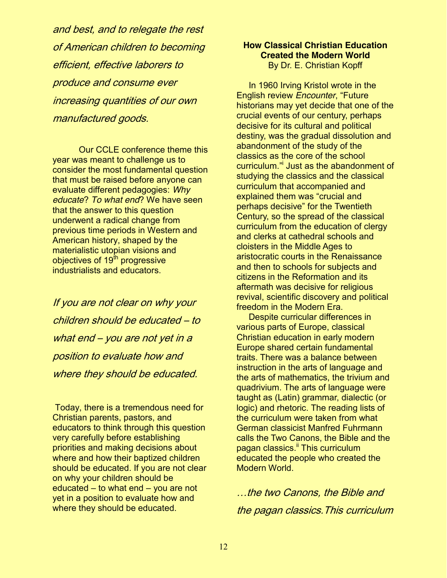and best, and to relegate the rest of American children to becoming efficient, effective laborers to produce and consume ever increasing quantities of our own manufactured goods.

Our CCLE conference theme this year was meant to challenge us to consider the most fundamental question that must be raised before anyone can evaluate different pedagogies: *Why educate*? *To what end*? We have seen that the answer to this question underwent a radical change from previous time periods in Western and American history, shaped by the materialistic utopian visions and objectives of 19<sup>th</sup> progressive industrialists and educators.

If you are not clear on why your children should be educated ‒ to what end - you are not yet in a position to evaluate how and where they should be educated.

Today, there is a tremendous need for Christian parents, pastors, and educators to think through this question very carefully before establishing priorities and making decisions about where and how their baptized children should be educated. If you are not clear on why your children should be educated  $-$  to what end  $-$  you are not yet in a position to evaluate how and where they should be educated.

#### **How Classical Christian Education Created the Modern World** By Dr. E. Christian Kopff

 In 1960 Irving Kristol wrote in the **English review** *Encounter*, "Future historians may yet decide that one of the crucial events of our century, perhaps decisive for its cultural and political destiny, was the gradual dissolution and abandonment of the study of the classics as the core of the school curriculum." Just as the abandonment of studying the classics and the classical curriculum that accompanied and explained them was "crucial and perhaps decisive" for the Twentieth Century, so the spread of the classical curriculum from the education of clergy and clerks at cathedral schools and cloisters in the Middle Ages to aristocratic courts in the Renaissance and then to schools for subjects and citizens in the Reformation and its aftermath was decisive for religious revival, scientific discovery and political freedom in the Modern Era.

 Despite curricular differences in various parts of Europe, classical Christian education in early modern Europe shared certain fundamental traits. There was a balance between instruction in the arts of language and the arts of mathematics, the trivium and quadrivium. The arts of language were taught as (Latin) grammar, dialectic (or logic) and rhetoric. The reading lists of the curriculum were taken from what German classicist Manfred Fuhrmann calls the Two Canons, the Bible and the pagan classics.<sup>"</sup> This curriculum educated the people who created the Modern World.

…the two Canons, the Bible and the pagan classics.This curriculum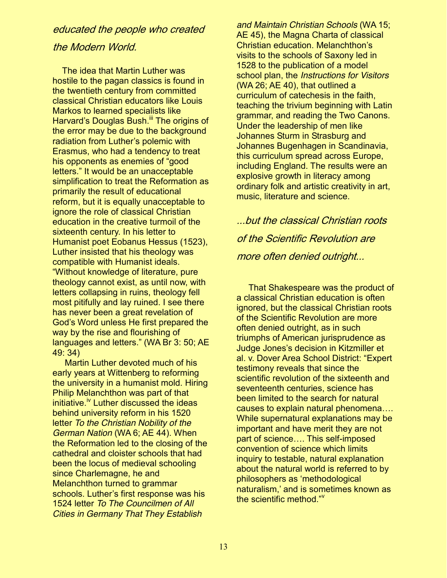# educated the people who created

### the Modern World.

 The idea that Martin Luther was hostile to the pagan classics is found in the twentieth century from committed classical Christian educators like Louis Markos to learned specialists like Harvard's Douglas Bush.<sup>III</sup> The origins of the error may be due to the background radiation from Luther's polemic with Erasmus, who had a tendency to treat his opponents as enemies of "good" letters." It would be an unacceptable simplification to treat the Reformation as primarily the result of educational reform, but it is equally unacceptable to ignore the role of classical Christian education in the creative turmoil of the sixteenth century. In his letter to Humanist poet Eobanus Hessus (1523), Luther insisted that his theology was compatible with Humanist ideals. "Without knowledge of literature, pure theology cannot exist, as until now, with letters collapsing in ruins, theology fell most pitifully and lay ruined. I see there has never been a great revelation of God's Word unless He first prepared the way by the rise and flourishing of languages and letters." (WA Br  $3:50$ ; AE 49: 34)

 Martin Luther devoted much of his early years at Wittenberg to reforming the university in a humanist mold. Hiring Philip Melanchthon was part of that initiative.<sup>iv</sup> Luther discussed the ideas behind university reform in his 1520 letter *To the Christian Nobility of the German Nation* (WA 6; AE 44). When the Reformation led to the closing of the cathedral and cloister schools that had been the locus of medieval schooling since Charlemagne, he and Melanchthon turned to grammar schools. Luther's first response was his 1524 letter *To The Councilmen of All Cities in Germany That They Establish* 

*and Maintain Christian Schools* (WA 15; AE 45), the Magna Charta of classical Christian education. Melanchthon's visits to the schools of Saxony led in 1528 to the publication of a model school plan, the *Instructions for Visitors* (WA 26; AE 40), that outlined a curriculum of catechesis in the faith, teaching the trivium beginning with Latin grammar, and reading the Two Canons. Under the leadership of men like Johannes Sturm in Strasburg and Johannes Bugenhagen in Scandinavia, this curriculum spread across Europe, including England. The results were an explosive growth in literacy among ordinary folk and artistic creativity in art, music, literature and science.

...but the classical Christian roots of the Scientific Revolution are more often denied outright...

 That Shakespeare was the product of a classical Christian education is often ignored, but the classical Christian roots of the Scientific Revolution are more often denied outright, as in such triumphs of American jurisprudence as Judge Jones's decision in Kitzmiller et al. v. Dover Area School District: "Expert testimony reveals that since the scientific revolution of the sixteenth and seventeenth centuries, science has been limited to the search for natural causes to explain natural phenomena... While supernatural explanations may be important and have merit they are not part of science.... This self-imposed convention of science which limits inquiry to testable, natural explanation about the natural world is referred to by philosophers as 'methodological naturalism,' and is sometimes known as the scientific method  $\sqrt[3]{ }$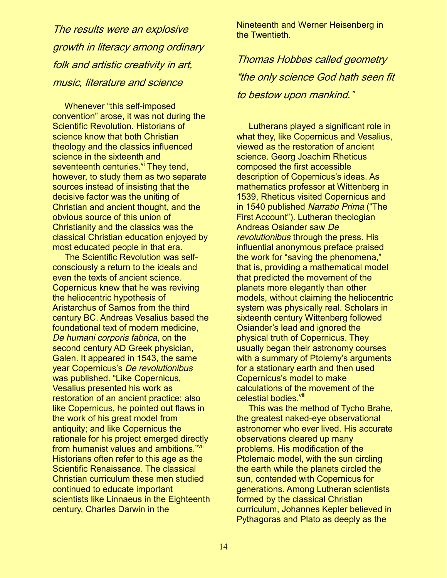The results were an explosive growth in literacy among ordinary folk and artistic creativity in art, music, literature and science

Whenever "this self-imposed convention" arose, it was not during the Scientific Revolution. Historians of science know that both Christian theology and the classics influenced science in the sixteenth and seventeenth centuries. <sup>vi</sup> They tend, however, to study them as two separate sources instead of insisting that the decisive factor was the uniting of Christian and ancient thought, and the obvious source of this union of Christianity and the classics was the classical Christian education enjoyed by most educated people in that era.

 The Scientific Revolution was selfconsciously a return to the ideals and even the texts of ancient science. Copernicus knew that he was reviving the heliocentric hypothesis of Aristarchus of Samos from the third century BC. Andreas Vesalius based the foundational text of modern medicine, *De humani corporis fabrica*, on the second century AD Greek physician, Galen. It appeared in 1543, the same year Copernicus's De revolutionibus was published. "Like Copernicus, Vesalius presented his work as restoration of an ancient practice; also like Copernicus, he pointed out flaws in the work of his great model from antiquity; and like Copernicus the rationale for his project emerged directly from humanist values and ambitions."<sup>Vii</sup> Historians often refer to this age as the Scientific Renaissance. The classical Christian curriculum these men studied continued to educate important scientists like Linnaeus in the Eighteenth century, Charles Darwin in the

Nineteenth and Werner Heisenberg in the Twentieth.

Thomas Hobbes called geometry "the only science God hath seen fit to bestow upon mankind."

 Lutherans played a significant role in what they, like Copernicus and Vesalius, viewed as the restoration of ancient science. Georg Joachim Rheticus composed the first accessible description of Copernicus's ideas. As mathematics professor at Wittenberg in 1539, Rheticus visited Copernicus and in 1540 published Narratio Prima ("The First Account"). Lutheran theologian Andreas Osiander saw *De revolutionibus* through the press. His influential anonymous preface praised the work for "saving the phenomena," that is, providing a mathematical model that predicted the movement of the planets more elegantly than other models, without claiming the heliocentric system was physically real. Scholars in sixteenth century Wittenberg followed Osiander's lead and ignored the physical truth of Copernicus. They usually began their astronomy courses with a summary of Ptolemy's arguments for a stationary earth and then used Copernicus's model to make calculations of the movement of the celestial bodies.<sup>viii</sup>

 This was the method of Tycho Brahe, the greatest naked-eye observational astronomer who ever lived. His accurate observations cleared up many problems. His modification of the Ptolemaic model, with the sun circling the earth while the planets circled the sun, contended with Copernicus for generations. Among Lutheran scientists formed by the classical Christian curriculum, Johannes Kepler believed in Pythagoras and Plato as deeply as the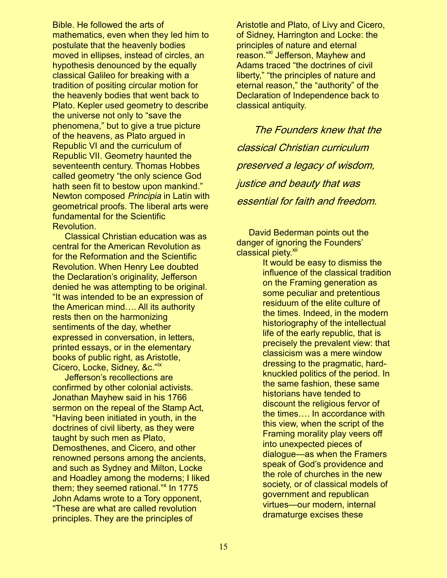Bible. He followed the arts of mathematics, even when they led him to postulate that the heavenly bodies moved in ellipses, instead of circles, an hypothesis denounced by the equally classical Galileo for breaking with a tradition of positing circular motion for the heavenly bodies that went back to Plato. Kepler used geometry to describe the universe not only to "save the phenomena," but to give a true picture of the heavens, as Plato argued in Republic VI and the curriculum of Republic VII. Geometry haunted the seventeenth century. Thomas Hobbes called geometry "the only science God hath seen fit to bestow upon mankind." Newton composed *Principia* in Latin with geometrical proofs. The liberal arts were fundamental for the Scientific Revolution.

 Classical Christian education was as central for the American Revolution as for the Reformation and the Scientific Revolution. When Henry Lee doubted the Declaration's originality, Jefferson denied he was attempting to be original. "It was intended to be an expression of the American mind.... All its authority rests then on the harmonizing sentiments of the day, whether expressed in conversation, in letters, printed essays, or in the elementary books of public right, as Aristotle, Cicero, Locke, Sidney, &c."<sup>1X</sup>

Jefferson's recollections are confirmed by other colonial activists. Jonathan Mayhew said in his 1766 sermon on the repeal of the Stamp Act, "Having been initiated in youth, in the doctrines of civil liberty, as they were taught by such men as Plato, Demosthenes, and Cicero, and other renowned persons among the ancients, and such as Sydney and Milton, Locke and Hoadley among the moderns; I liked them; they seemed rational." $x$  In 1775 John Adams wrote to a Tory opponent, "These are what are called revolution principles. They are the principles of

Aristotle and Plato, of Livy and Cicero, of Sidney, Harrington and Locke: the principles of nature and eternal reason."<sup>xi</sup> Jefferson, Mayhew and Adams traced "the doctrines of civil liberty," "the principles of nature and eternal reason," the "authority" of the Declaration of Independence back to classical antiquity.

 The Founders knew that the classical Christian curriculum preserved a legacy of wisdom, justice and beauty that was essential for faith and freedom.

 David Bederman points out the danger of ignoring the Founders' classical piety.<sup>xii</sup>

> It would be easy to dismiss the influence of the classical tradition on the Framing generation as some peculiar and pretentious residuum of the elite culture of the times. Indeed, in the modern historiography of the intellectual life of the early republic, that is precisely the prevalent view: that classicism was a mere window dressing to the pragmatic, hardknuckled politics of the period. In the same fashion, these same historians have tended to discount the religious fervor of the times.... In accordance with this view, when the script of the Framing morality play veers off into unexpected pieces of dialogue—as when the Framers speak of God's providence and the role of churches in the new society, or of classical models of government and republican virtues-our modern, internal dramaturge excises these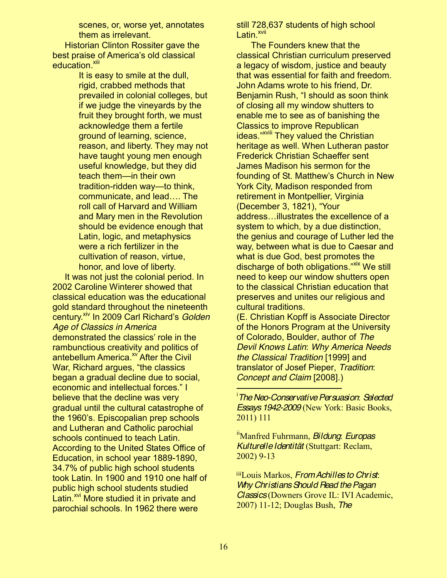scenes, or, worse yet, annotates them as irrelevant.

 Historian Clinton Rossiter gave the best praise of America's old classical education.<sup>xiii</sup>

> It is easy to smile at the dull, rigid, crabbed methods that prevailed in colonial colleges, but if we judge the vineyards by the fruit they brought forth, we must acknowledge them a fertile ground of learning, science, reason, and liberty. They may not have taught young men enough useful knowledge, but they did teach them—in their own tradition-ridden way-to think, communicate, and lead.... The roll call of Harvard and William and Mary men in the Revolution should be evidence enough that Latin, logic, and metaphysics were a rich fertilizer in the cultivation of reason, virtue, honor, and love of liberty.

 It was not just the colonial period. In 2002 Caroline Winterer showed that classical education was the educational gold standard throughout the nineteenth century.<sup>xiv</sup> In 2009 Carl Richard's *Golden Age of Classics in America*  demonstrated the classics' role in the rambunctious creativity and politics of antebellum America. $^{x}$  After the Civil War, Richard argues, "the classics" began a gradual decline due to social, economic and intellectual forces." I believe that the decline was very gradual until the cultural catastrophe of the 1960's. Episcopalian prep schools and Lutheran and Catholic parochial schools continued to teach Latin. According to the United States Office of Education, in school year 1889-1890, 34.7% of public high school students took Latin. In 1900 and 1910 one half of public high school students studied Latin.<sup>xvi</sup> More studied it in private and parochial schools. In 1962 there were

still 728,637 students of high school Latin.<sup>xvii</sup>

 The Founders knew that the classical Christian curriculum preserved a legacy of wisdom, justice and beauty that was essential for faith and freedom. John Adams wrote to his friend, Dr. Benjamin Rush, "I should as soon think of closing all my window shutters to enable me to see as of banishing the Classics to improve Republican ideas."<sup>xviii</sup> They valued the Christian heritage as well. When Lutheran pastor Frederick Christian Schaeffer sent James Madison his sermon for the founding of St. Matthew's Church in New York City, Madison responded from retirement in Montpellier, Virginia (December 3, 1821), "Your address...illustrates the excellence of a system to which, by a due distinction, the genius and courage of Luther led the way, between what is due to Caesar and what is due God, best promotes the discharge of both obligations."<sup>xix</sup> We still need to keep our window shutters open to the classical Christian education that preserves and unites our religious and cultural traditions.

(E. Christian Kopff is Associate Director of the Honors Program at the University of Colorado, Boulder, author of *The Devil Knows Latin*: *Why America Needs the Classical Tradition* [1999] and translator of Josef Pieper, *Tradition*: *Concept and Claim* [2008].)

 i *The Neo-Conservative Persuasion*: *Selected Essays 1942-2009* (New York: Basic Books, 2011) 111

iiManfred Fuhrmann, *Bildung*: *Europas Kulturelle Identität* (Stuttgart: Reclam, 2002) 9-13

iiiLouis Markos, *From Achilles to Christ*: *Why Christians Should Read the Pagan Classics* (Downers Grove IL: IVI Academic, 2007) 11-12; Douglas Bush, *The*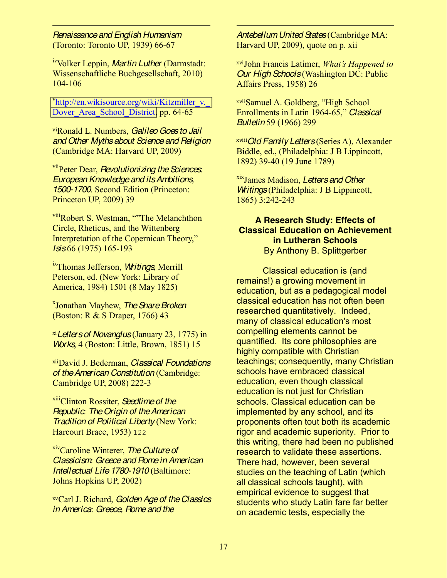*Renaissance and English Humanism* (Toronto: Toronto UP, 1939) 66-67

 $\ddot{ }$ 

ivVolker Leppin, *Martin Luther* (Darmstadt: Wissenschaftliche Buchgesellschaft, 2010) 104-106

v<sub>http://en.wikisource.org/wiki/Kitzmiller\_v.</sub> Dover Area School District, pp. 64-65

viRonald L. Numbers, *Galileo Goes to Jail and Other Myths about Science and Religion* (Cambridge MA: Harvard UP, 2009)

viiPeter Dear, *Revolutionizing the Sciences*: *European Knowledge and its Ambitions, 1500-1700*. Second Edition (Princeton: Princeton UP, 2009) 39

viii<sub>Robert S.</sub> Westman, "The Melanchthon Circle, Rheticus, and the Wittenberg Interpretation of the Copernican Theory," *Isis* 66 (1975) 165-193

ixThomas Jefferson, *Writings*, Merrill Peterson, ed. (New York: Library of America, 1984) 1501 (8 May 1825)

x Jonathan Mayhew, *The Snare Broken* (Boston: R & S Draper, 1766) 43

xi*Letters of Novanglus* (January 23, 1775) in *Works*, 4 (Boston: Little, Brown, 1851) 15

xiiDavid J. Bederman, *Classical Foundations of the American Constitution* (Cambridge: Cambridge UP, 2008) 222-3

xiiiClinton Rossiter, *Seedtime of the Republic*: *The Origin of the American Tradition of Political Liberty* (New York: Harcourt Brace, 1953) 122

xivCaroline Winterer, *The Culture of Classicism*: *Greece and Rome in American Intellectual Life 1780-1910* (Baltimore: Johns Hopkins UP, 2002)

xvCarl J. Richard, *Golden Age of the Classics in America*: *Greece, Rome and the* 

*Antebellum United States* (Cambridge MA: Harvard UP, 2009), quote on p. xii

 $\ddot{ }$ 

xviJohn Francis Latimer, *What's Happened to Our High Schools* (Washington DC: Public Affairs Press, 1958) 26

xviiSamuel A. Goldberg, "High School Enrollments in Latin 1964-65," Classical *Bulletin* 59 (1966) 299

xviii*Old Family Letters* (Series A), Alexander Biddle, ed., (Philadelphia: J B Lippincott, 1892) 39-40 (19 June 1789)

xixJames Madison, *Letters and Other Writings* (Philadelphia: J B Lippincott, 1865) 3:242-243

### **A Research Study: Effects of Classical Education on Achievement in Lutheran Schools** By Anthony B. Splittgerber

Classical education is (and remains!) a growing movement in education, but as a pedagogical model classical education has not often been researched quantitatively. Indeed, many of classical education's most compelling elements cannot be quantified. Its core philosophies are highly compatible with Christian teachings; consequently, many Christian schools have embraced classical education, even though classical education is not just for Christian schools. Classical education can be implemented by any school, and its proponents often tout both its academic rigor and academic superiority. Prior to this writing, there had been no published research to validate these assertions. There had, however, been several studies on the teaching of Latin (which all classical schools taught), with empirical evidence to suggest that students who study Latin fare far better on academic tests, especially the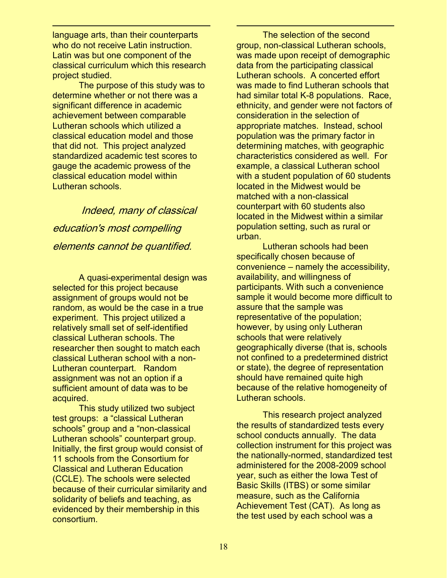language arts, than their counterparts who do not receive Latin instruction. Latin was but one component of the classical curriculum which this research project studied.

 $\ddot{ }$ 

The purpose of this study was to determine whether or not there was a significant difference in academic achievement between comparable Lutheran schools which utilized a classical education model and those that did not. This project analyzed standardized academic test scores to gauge the academic prowess of the classical education model within Lutheran schools.

Indeed, many of classical education's most compelling elements cannot be quantified.

A quasi-experimental design was selected for this project because assignment of groups would not be random, as would be the case in a true experiment. This project utilized a relatively small set of self-identified classical Lutheran schools. The researcher then sought to match each classical Lutheran school with a non-Lutheran counterpart. Random assignment was not an option if a sufficient amount of data was to be acquired.

This study utilized two subject test groups: a "classical Lutheran schools" group and a "non-classical Lutheran schools" counterpart group. Initially, the first group would consist of 11 schools from the Consortium for Classical and Lutheran Education (CCLE). The schools were selected because of their curricular similarity and solidarity of beliefs and teaching, as evidenced by their membership in this consortium.

The selection of the second group, non-classical Lutheran schools, was made upon receipt of demographic data from the participating classical Lutheran schools. A concerted effort was made to find Lutheran schools that had similar total K-8 populations. Race, ethnicity, and gender were not factors of consideration in the selection of appropriate matches. Instead, school population was the primary factor in determining matches, with geographic characteristics considered as well. For example, a classical Lutheran school with a student population of 60 students located in the Midwest would be matched with a non-classical counterpart with 60 students also located in the Midwest within a similar population setting, such as rural or urban.

 $\ddot{ }$ 

Lutheran schools had been specifically chosen because of convenience - namely the accessibility, availability, and willingness of participants. With such a convenience sample it would become more difficult to assure that the sample was representative of the population; however, by using only Lutheran schools that were relatively geographically diverse (that is, schools not confined to a predetermined district or state), the degree of representation should have remained quite high because of the relative homogeneity of Lutheran schools.

This research project analyzed the results of standardized tests every school conducts annually. The data collection instrument for this project was the nationally-normed, standardized test administered for the 2008-2009 school year, such as either the Iowa Test of Basic Skills (ITBS) or some similar measure, such as the California Achievement Test (CAT). As long as the test used by each school was a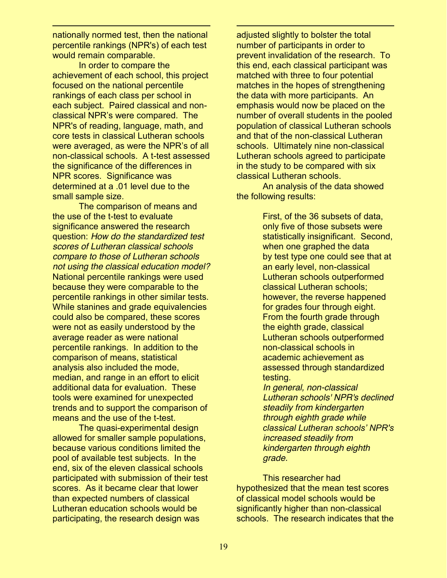nationally normed test, then the national percentile rankings (NPR's) of each test would remain comparable.

 $\ddot{ }$ 

In order to compare the achievement of each school, this project focused on the national percentile rankings of each class per school in each subject. Paired classical and nonclassical NPR's were compared. The NPR's of reading, language, math, and core tests in classical Lutheran schools were averaged, as were the NPR's of all non-classical schools. A t-test assessed the significance of the differences in NPR scores. Significance was determined at a .01 level due to the small sample size.

The comparison of means and the use of the t-test to evaluate significance answered the research question: *How do the standardized test scores of Lutheran classical schools compare to those of Lutheran schools not using the classical education model?*  National percentile rankings were used because they were comparable to the percentile rankings in other similar tests. While stanines and grade equivalencies could also be compared, these scores were not as easily understood by the average reader as were national percentile rankings. In addition to the comparison of means, statistical analysis also included the mode, median, and range in an effort to elicit additional data for evaluation. These tools were examined for unexpected trends and to support the comparison of means and the use of the t-test.

The quasi-experimental design allowed for smaller sample populations, because various conditions limited the pool of available test subjects. In the end, six of the eleven classical schools participated with submission of their test scores. As it became clear that lower than expected numbers of classical Lutheran education schools would be participating, the research design was

adjusted slightly to bolster the total number of participants in order to prevent invalidation of the research. To this end, each classical participant was matched with three to four potential matches in the hopes of strengthening the data with more participants. An emphasis would now be placed on the number of overall students in the pooled population of classical Lutheran schools and that of the non-classical Lutheran schools. Ultimately nine non-classical Lutheran schools agreed to participate in the study to be compared with six classical Lutheran schools.

 $\ddot{ }$ 

An analysis of the data showed the following results:

> First, of the 36 subsets of data, only five of those subsets were statistically insignificant. Second, when one graphed the data by test type one could see that at an early level, non-classical Lutheran schools outperformed classical Lutheran schools; however, the reverse happened for grades four through eight. From the fourth grade through the eighth grade, classical Lutheran schools outperformed non-classical schools in academic achievement as assessed through standardized testing.

*In general, non-classical Lutheran schools' NPR's declined steadily from kindergarten through eighth grade while <i>Classical Lutheran schools' NPR's increased steadily from kindergarten through eighth grade.* 

This researcher had hypothesized that the mean test scores of classical model schools would be significantly higher than non-classical schools. The research indicates that the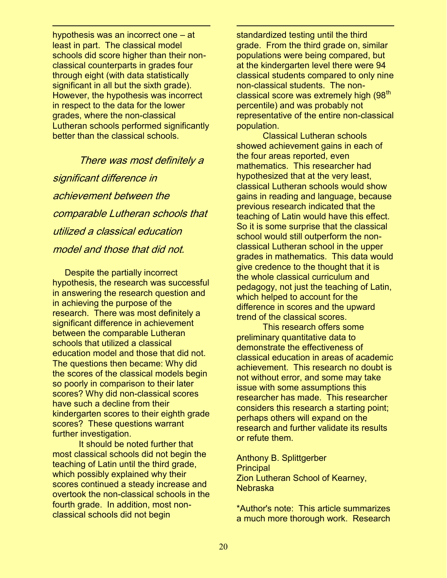hypothesis was an incorrect one  $-$  at least in part. The classical model schools did score higher than their nonclassical counterparts in grades four through eight (with data statistically significant in all but the sixth grade). However, the hypothesis was incorrect in respect to the data for the lower grades, where the non-classical Lutheran schools performed significantly better than the classical schools.

 $\ddot{ }$ 

There was most definitely a significant difference in achievement between the comparable Lutheran schools that utilized a classical education model and those that did not.

 Despite the partially incorrect hypothesis, the research was successful in answering the research question and in achieving the purpose of the research. There was most definitely a significant difference in achievement between the comparable Lutheran schools that utilized a classical education model and those that did not. The questions then became: Why did the scores of the classical models begin so poorly in comparison to their later scores? Why did non-classical scores have such a decline from their kindergarten scores to their eighth grade scores? These questions warrant further investigation.

It should be noted further that most classical schools did not begin the teaching of Latin until the third grade, which possibly explained why their scores continued a steady increase and overtook the non-classical schools in the fourth grade. In addition, most nonclassical schools did not begin

standardized testing until the third grade. From the third grade on, similar populations were being compared, but at the kindergarten level there were 94 classical students compared to only nine non-classical students. The nonclassical score was extremely high  $(98<sup>th</sup>$ percentile) and was probably not representative of the entire non-classical population.

 $\ddot{ }$ 

Classical Lutheran schools showed achievement gains in each of the four areas reported, even mathematics. This researcher had hypothesized that at the very least, classical Lutheran schools would show gains in reading and language, because previous research indicated that the teaching of Latin would have this effect. So it is some surprise that the classical school would still outperform the nonclassical Lutheran school in the upper grades in mathematics. This data would give credence to the thought that it is the whole classical curriculum and pedagogy, not just the teaching of Latin, which helped to account for the difference in scores and the upward trend of the classical scores.

This research offers some preliminary quantitative data to demonstrate the effectiveness of classical education in areas of academic achievement. This research no doubt is not without error, and some may take issue with some assumptions this researcher has made. This researcher considers this research a starting point; perhaps others will expand on the research and further validate its results or refute them.

Anthony B. Splittgerber **Principal** Zion Lutheran School of Kearney, Nebraska

\*Author's note: This article summarizes a much more thorough work. Research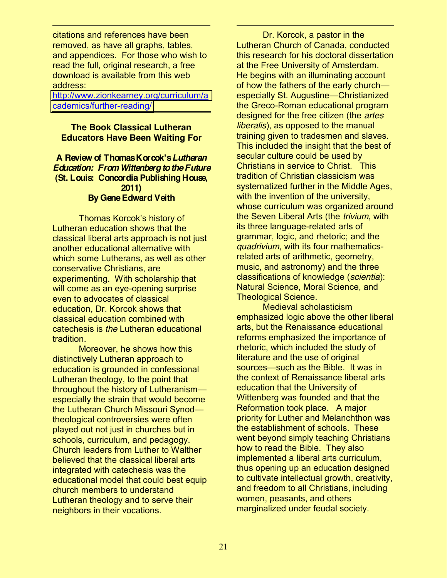citations and references have been removed, as have all graphs, tables, and appendices. For those who wish to read the full, original research, a free download is available from this web address:

 $\ddot{ }$ 

[http://www.zionkearney.org/curriculum/a](http://www.zionkearney.org/curriculum/academics/further-reading/) [cademics/further-reading/](http://www.zionkearney.org/curriculum/academics/further-reading/)

### **The Book Classical Lutheran Educators Have Been Waiting For**

### **A Review of Thomas Korcok's** *Lutheran Education: From Wittenberg to the Future* **(St. Louis: Concordia Publishing House, 2011) By Gene Edward Veith**

Thomas Korcok's history of Lutheran education shows that the classical liberal arts approach is not just another educational alternative with which some Lutherans, as well as other conservative Christians, are experimenting. With scholarship that will come as an eye-opening surprise even to advocates of classical education, Dr. Korcok shows that classical education combined with catechesis is *the* Lutheran educational tradition.

Moreover, he shows how this distinctively Lutheran approach to education is grounded in confessional Lutheran theology, to the point that throughout the history of Lutheranismespecially the strain that would become the Lutheran Church Missouri Synodtheological controversies were often played out not just in churches but in schools, curriculum, and pedagogy. Church leaders from Luther to Walther believed that the classical liberal arts integrated with catechesis was the educational model that could best equip church members to understand Lutheran theology and to serve their neighbors in their vocations.

Dr. Korcok, a pastor in the Lutheran Church of Canada, conducted this research for his doctoral dissertation at the Free University of Amsterdam. He begins with an illuminating account of how the fathers of the early church especially St. Augustine—Christianized the Greco-Roman educational program designed for the free citizen (the *artes liberalis*), as opposed to the manual training given to tradesmen and slaves. This included the insight that the best of secular culture could be used by Christians in service to Christ. This tradition of Christian classicism was systematized further in the Middle Ages, with the invention of the university, whose curriculum was organized around the Seven Liberal Arts (the *trivium*, with its three language-related arts of grammar, logic, and rhetoric; and the *quadrivium*, with its four mathematicsrelated arts of arithmetic, geometry, music, and astronomy) and the three classifications of knowledge (*scientia*): Natural Science, Moral Science, and Theological Science.

 $\ddot{ }$ 

Medieval scholasticism emphasized logic above the other liberal arts, but the Renaissance educational reforms emphasized the importance of rhetoric, which included the study of literature and the use of original sources—such as the Bible. It was in the context of Renaissance liberal arts education that the University of Wittenberg was founded and that the Reformation took place. A major priority for Luther and Melanchthon was the establishment of schools. These went beyond simply teaching Christians how to read the Bible. They also implemented a liberal arts curriculum, thus opening up an education designed to cultivate intellectual growth, creativity, and freedom to all Christians, including women, peasants, and others marginalized under feudal society.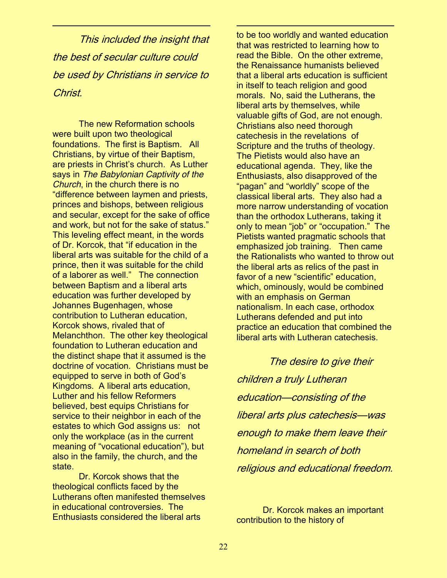This included the insight that the best of secular culture could be used by Christians in service to Christ.

 $\ddot{ }$ 

The new Reformation schools were built upon two theological foundations. The first is Baptism. All Christians, by virtue of their Baptism, are priests in Christ's church. As Luther says in *The Babylonian Captivity of the Church*, in the church there is no "difference between laymen and priests, princes and bishops, between religious and secular, except for the sake of office and work, but not for the sake of status." This leveling effect meant, in the words of Dr. Korcok, that "if education in the liberal arts was suitable for the child of a prince, then it was suitable for the child of a laborer as well." The connection between Baptism and a liberal arts education was further developed by Johannes Bugenhagen, whose contribution to Lutheran education, Korcok shows, rivaled that of Melanchthon. The other key theological foundation to Lutheran education and the distinct shape that it assumed is the doctrine of vocation. Christians must be equipped to serve in both of God's Kingdoms. A liberal arts education, Luther and his fellow Reformers believed, best equips Christians for service to their neighbor in each of the estates to which God assigns us: not only the workplace (as in the current meaning of "vocational education"), but also in the family, the church, and the state.

Dr. Korcok shows that the theological conflicts faced by the Lutherans often manifested themselves in educational controversies. The Enthusiasts considered the liberal arts

to be too worldly and wanted education that was restricted to learning how to read the Bible. On the other extreme, the Renaissance humanists believed that a liberal arts education is sufficient in itself to teach religion and good morals. No, said the Lutherans, the liberal arts by themselves, while valuable gifts of God, are not enough. Christians also need thorough catechesis in the revelations of Scripture and the truths of theology. The Pietists would also have an educational agenda. They, like the Enthusiasts, also disapproved of the "pagan" and "worldly" scope of the classical liberal arts. They also had a more narrow understanding of vocation than the orthodox Lutherans, taking it only to mean "job" or "occupation." The Pietists wanted pragmatic schools that emphasized job training. Then came the Rationalists who wanted to throw out the liberal arts as relics of the past in favor of a new "scientific" education. which, ominously, would be combined with an emphasis on German nationalism. In each case, orthodox Lutherans defended and put into practice an education that combined the liberal arts with Lutheran catechesis.

 $\ddot{ }$ 

The desire to give their children a truly Lutheran education̶consisting of the liberal arts plus catechesis̶was enough to make them leave their homeland in search of both religious and educational freedom.

Dr. Korcok makes an important contribution to the history of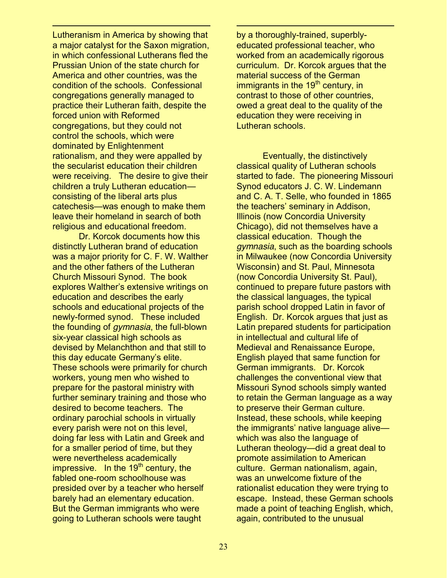Lutheranism in America by showing that a major catalyst for the Saxon migration, in which confessional Lutherans fled the Prussian Union of the state church for America and other countries, was the condition of the schools. Confessional congregations generally managed to practice their Lutheran faith, despite the forced union with Reformed congregations, but they could not control the schools, which were dominated by Enlightenment rationalism, and they were appalled by the secularist education their children were receiving. The desire to give their children a truly Lutheran educationconsisting of the liberal arts plus catechesis—was enough to make them leave their homeland in search of both religious and educational freedom.

 $\ddot{ }$ 

Dr. Korcok documents how this distinctly Lutheran brand of education was a major priority for C. F. W. Walther and the other fathers of the Lutheran Church Missouri Synod. The book explores Walther's extensive writings on education and describes the early schools and educational projects of the newly-formed synod. These included the founding of *gymnasia*, the full-blown six-year classical high schools as devised by Melanchthon and that still to this day educate Germany's elite. These schools were primarily for church workers, young men who wished to prepare for the pastoral ministry with further seminary training and those who desired to become teachers. The ordinary parochial schools in virtually every parish were not on this level, doing far less with Latin and Greek and for a smaller period of time, but they were nevertheless academically impressive. In the  $19<sup>th</sup>$  century, the fabled one-room schoolhouse was presided over by a teacher who herself barely had an elementary education. But the German immigrants who were going to Lutheran schools were taught

by a thoroughly-trained, superblyeducated professional teacher, who worked from an academically rigorous curriculum. Dr. Korcok argues that the material success of the German immigrants in the 19<sup>th</sup> century, in contrast to those of other countries, owed a great deal to the quality of the education they were receiving in Lutheran schools.

 $\ddot{ }$ 

Eventually, the distinctively classical quality of Lutheran schools started to fade. The pioneering Missouri Synod educators J. C. W. Lindemann and C. A. T. Selle, who founded in 1865 the teachers' seminary in Addison, Illinois (now Concordia University Chicago), did not themselves have a classical education. Though the *gymnasia*, such as the boarding schools in Milwaukee (now Concordia University Wisconsin) and St. Paul, Minnesota (now Concordia University St. Paul), continued to prepare future pastors with the classical languages, the typical parish school dropped Latin in favor of English. Dr. Korcok argues that just as Latin prepared students for participation in intellectual and cultural life of Medieval and Renaissance Europe, English played that same function for German immigrants. Dr. Korcok challenges the conventional view that Missouri Synod schools simply wanted to retain the German language as a way to preserve their German culture. Instead, these schools, while keeping the immigrants' native language alivewhich was also the language of Lutheran theology—did a great deal to promote assimilation to American culture. German nationalism, again, was an unwelcome fixture of the rationalist education they were trying to escape. Instead, these German schools made a point of teaching English, which, again, contributed to the unusual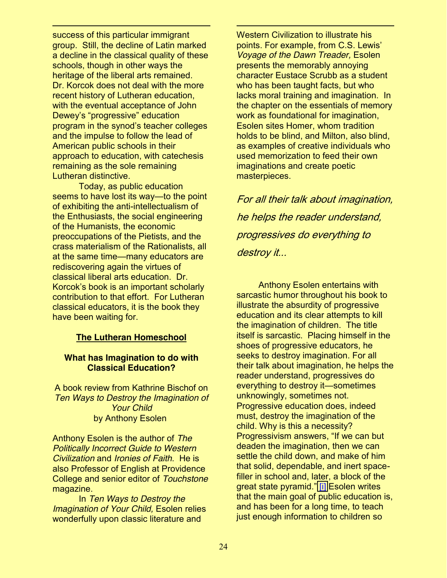$\ddot{ }$ success of this particular immigrant group. Still, the decline of Latin marked a decline in the classical quality of these schools, though in other ways the heritage of the liberal arts remained. Dr. Korcok does not deal with the more recent history of Lutheran education, with the eventual acceptance of John Dewey's "progressive" education program in the synod's teacher colleges and the impulse to follow the lead of American public schools in their approach to education, with catechesis remaining as the sole remaining Lutheran distinctive.

Today, as public education seems to have lost its way—to the point of exhibiting the anti-intellectualism of the Enthusiasts, the social engineering of the Humanists, the economic preoccupations of the Pietists, and the crass materialism of the Rationalists, all at the same time—many educators are rediscovering again the virtues of classical liberal arts education. Dr. Korcok's book is an important scholarly contribution to that effort. For Lutheran classical educators, it is the book they have been waiting for.

#### **The Lutheran Homeschool**

#### **What has Imagination to do with Classical Education?**

A book review from Kathrine Bischof on *Ten Ways to Destroy the Imagination of Your Child* by Anthony Esolen

Anthony Esolen is the author of *The Politically Incorrect Guide to Western Civilization* and *Ironies of Faith*. He is also Professor of English at Providence College and senior editor of *Touchstone* magazine.

In *Ten Ways to Destroy the Imagination of Your Child,* Esolen relies wonderfully upon classic literature and

Western Civilization to illustrate his points. For example, from C.S. Lewis' *Voyage of the Dawn Treader,* Esolen presents the memorably annoying character Eustace Scrubb as a student who has been taught facts, but who lacks moral training and imagination. In the chapter on the essentials of memory work as foundational for imagination, Esolen sites Homer, whom tradition holds to be blind, and Milton, also blind, as examples of creative individuals who used memorization to feed their own imaginations and create poetic masterpieces.

 $\ddot{ }$ 

For all their talk about imagination, he helps the reader understand, progressives do everything to destroy it...

 Anthony Esolen entertains with sarcastic humor throughout his book to illustrate the absurdity of progressive education and its clear attempts to kill the imagination of children. The title itself is sarcastic. Placing himself in the shoes of progressive educators, he seeks to destroy imagination. For all their talk about imagination, he helps the reader understand, progressives do everything to destroy it-sometimes unknowingly, sometimes not. Progressive education does, indeed must, destroy the imagination of the child. Why is this a necessity? Progressivism answers, "If we can but deaden the imagination, then we can settle the child down, and make of him that solid, dependable, and inert spacefiller in school and, later, a block of the great state pyramid." [\[i\]](http://sn116w.snt116.mail.live.com/mail/#_edn1) Esolen writes that the main goal of public education is, and has been for a long time, to teach just enough information to children so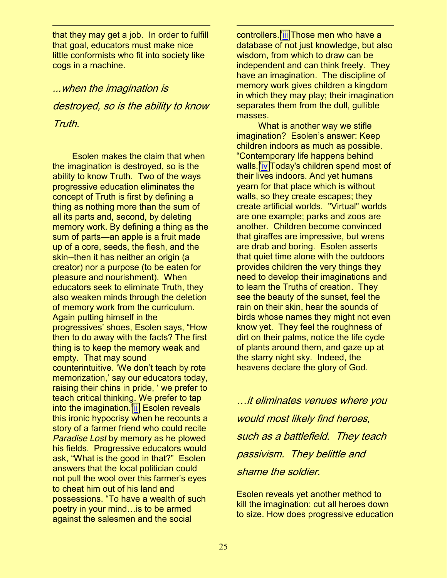that they may get a job. In order to fulfill that goal, educators must make nice little conformists who fit into society like cogs in a machine.

 $\ddot{ }$ 

...when the imagination is destroyed, so is the ability to know Truth.

 Esolen makes the claim that when the imagination is destroyed, so is the ability to know Truth. Two of the ways progressive education eliminates the concept of Truth is first by defining a thing as nothing more than the sum of all its parts and, second, by deleting memory work. By defining a thing as the sum of parts—an apple is a fruit made up of a core, seeds, the flesh, and the skin--then it has neither an origin (a creator) nor a purpose (to be eaten for pleasure and nourishment). When educators seek to eliminate Truth, they also weaken minds through the deletion of memory work from the curriculum. Again putting himself in the progressives' shoes, Esolen says, "How then to do away with the facts? The first thing is to keep the memory weak and empty. That may sound counterintuitive. 'We don't teach by rote memorization,' say our educators today, raising their chins in pride, 'we prefer to teach critical thinking. We prefer to tap into the imagination." $\overline{\text{ii}}$  $\overline{\text{ii}}$  $\overline{\text{ii}}$  Esolen reveals this ironic hypocrisy when he recounts a story of a farmer friend who could recite *Paradise Lost* by memory as he plowed his fields. Progressive educators would ask, "What is the good in that?" Esolen answers that the local politician could not pull the wool over this farmer's eyes to cheat him out of his land and possessions. "To have a wealth of such poetry in your mind... is to be armed against the salesmen and the social

controllers."[iii](http://sn116w.snt116.mail.live.com/mail/#_ftn2) Those men who have a database of not just knowledge, but also wisdom, from which to draw can be independent and can think freely. They have an imagination. The discipline of memory work gives children a kingdom in which they may play; their imagination separates them from the dull, gullible masses.

 $\ddot{ }$ 

 What is another way we stifle imagination? Esolen's answer: Keep children indoors as much as possible. "Contemporary life happens behind walls."[iv](http://sn116w.snt116.mail.live.com/mail/#_ftn3) Today's children spend most of their lives indoors. And yet humans yearn for that place which is without walls, so they create escapes; they create artificial worlds. "Virtual" worlds are one example; parks and zoos are another. Children become convinced that giraffes are impressive, but wrens are drab and boring. Esolen asserts that quiet time alone with the outdoors provides children the very things they need to develop their imaginations and to learn the Truths of creation. They see the beauty of the sunset, feel the rain on their skin, hear the sounds of birds whose names they might not even know yet. They feel the roughness of dirt on their palms, notice the life cycle of plants around them, and gaze up at the starry night sky. Indeed, the heavens declare the glory of God.

…it eliminates venues where you would most likely find heroes, such as a battlefield. They teach passivism. They belittle and shame the soldier.

Esolen reveals yet another method to kill the imagination: cut all heroes down to size. How does progressive education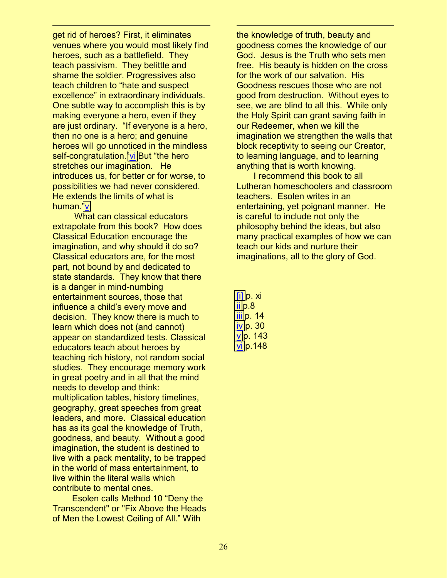get rid of heroes? First, it eliminates venues where you would most likely find heroes, such as a battlefield. They teach passivism. They belittle and shame the soldier. Progressives also teach children to "hate and suspect excellence" in extraordinary individuals. One subtle way to accomplish this is by making everyone a hero, even if they are just ordinary. "If everyone is a hero, then no one is a hero; and genuine heroes will go unnoticed in the mindless self-congratulation."[vi](http://sn116w.snt116.mail.live.com/mail/#_ftn5) But "the hero stretches our imagination. He introduces us, for better or for worse, to possibilities we had never considered. He extends the limits of what is human."[v](http://sn116w.snt116.mail.live.com/mail/#_ftn4)

 $\ddot{ }$ 

 What can classical educators extrapolate from this book? How does Classical Education encourage the imagination, and why should it do so? Classical educators are, for the most part, not bound by and dedicated to state standards. They know that there is a danger in mind-numbing entertainment sources, those that influence a child's every move and decision. They know there is much to learn which does not (and cannot) appear on standardized tests. Classical educators teach about heroes by teaching rich history, not random social studies. They encourage memory work in great poetry and in all that the mind needs to develop and think: multiplication tables, history timelines, geography, great speeches from great leaders, and more. Classical education has as its goal the knowledge of Truth, goodness, and beauty. Without a good imagination, the student is destined to live with a pack mentality, to be trapped in the world of mass entertainment, to live within the literal walls which contribute to mental ones.

Esolen calls Method 10 "Deny the Transcendent" or "Fix Above the Heads of Men the Lowest Ceiling of All." With

the knowledge of truth, beauty and goodness comes the knowledge of our God. Jesus is the Truth who sets men free. His beauty is hidden on the cross for the work of our salvation. His Goodness rescues those who are not good from destruction. Without eyes to see, we are blind to all this. While only the Holy Spirit can grant saving faith in our Redeemer, when we kill the imagination we strengthen the walls that block receptivity to seeing our Creator, to learning language, and to learning anything that is worth knowing.

 I recommend this book to all Lutheran homeschoolers and classroom teachers. Esolen writes in an entertaining, yet poignant manner. He is careful to include not only the philosophy behind the ideas, but also many practical examples of how we can teach our kids and nurture their imaginations, all to the glory of God.

[\[i\]](http://sn116w.snt116.mail.live.com/mail/#_ednref) p. xi [ii](http://sn116w.snt116.mail.live.com/mail/#_ftnref) p.8 [iii](http://sn116w.snt116.mail.live.com/mail/#_ftnref) p. 14 [iv](http://sn116w.snt116.mail.live.com/mail/#_ftnref) p. 30 [v](http://sn116w.snt116.mail.live.com/mail/#_ftnref) p. 143 [vi](http://sn116w.snt116.mail.live.com/mail/#_ftnref) p.148

 $\ddot{ }$